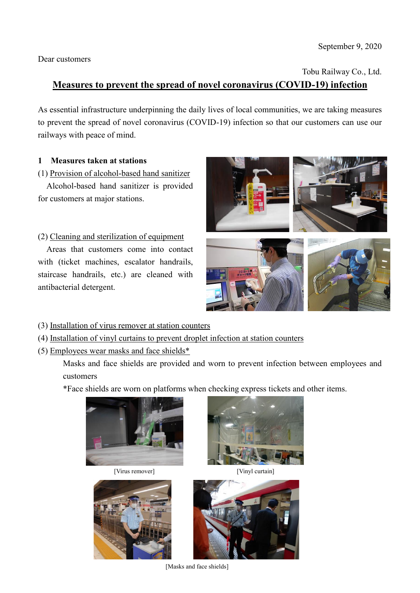Dear customers

Tobu Railway Co., Ltd.

# **Measures to prevent the spread of novel coronavirus (COVID-19) infection**

As essential infrastructure underpinning the daily lives of local communities, we are taking measures to prevent the spread of novel coronavirus (COVID-19) infection so that our customers can use our railways with peace of mind.

### **1 Measures taken at stations**

(1) Provision of alcohol-based hand sanitizer

Alcohol-based hand sanitizer is provided for customers at major stations.

## (2) Cleaning and sterilization of equipment

Areas that customers come into contact with (ticket machines, escalator handrails, staircase handrails, etc.) are cleaned with antibacterial detergent.



- (3) Installation of virus remover at station counters
- (4) Installation of vinyl curtains to prevent droplet infection at station counters
- (5) Employees wear masks and face shields\*

Masks and face shields are provided and worn to prevent infection between employees and customers

\*Face shields are worn on platforms when checking express tickets and other items.







[Virus remover] [Vinyl curtain]



[Masks and face shields]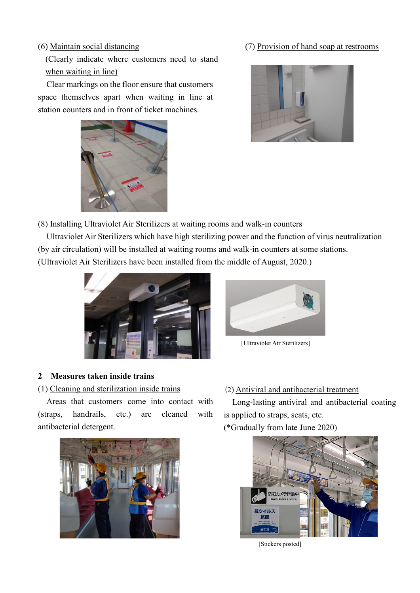(Clearly indicate where customers need to stand when waiting in line)

Clear markings on the floor ensure that customers space themselves apart when waiting in line at station counters and in front of ticket machines.



## (6) Maintain social distancing (7) Provision of hand soap at restrooms



(8) Installing Ultraviolet Air Sterilizers at waiting rooms and walk-in counters

 Ultraviolet Air Sterilizers which have high sterilizing power and the function of virus neutralization (by air circulation) will be installed at waiting rooms and walk-in counters at some stations.

(Ultraviolet Air Sterilizers have been installed from the middle of August, 2020.)





(1) Cleaning and sterilization inside trains

Areas that customers come into contact with (straps, handrails, etc.) are cleaned with antibacterial detergent.





[Ultraviolet Air Sterilizers]

# (2) Antiviral and antibacterial treatment

Long-lasting antiviral and antibacterial coating is applied to straps, seats, etc.

(\*Gradually from late June 2020)



[Stickers posted]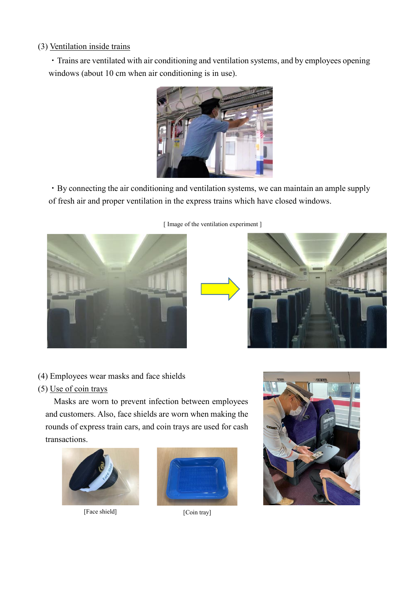#### (3) Ventilation inside trains

・Trains are ventilated with air conditioning and ventilation systems, and by employees opening windows (about 10 cm when air conditioning is in use).



・By connecting the air conditioning and ventilation systems, we can maintain an ample supply of fresh air and proper ventilation in the express trains which have closed windows.



[ Image of the ventilation experiment ]



(4) Employees wear masks and face shields

#### (5) Use of coin trays

Masks are worn to prevent infection between employees and customers. Also, face shields are worn when making the rounds of express train cars, and coin trays are used for cash transactions.



[Face shield] [Coin tray]



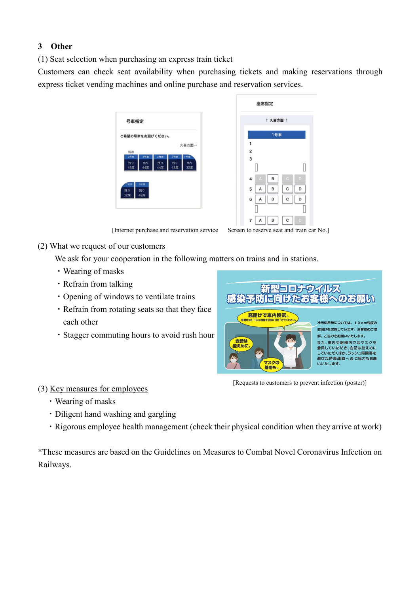## **3 Other**

(1) Seat selection when purchasing an express train ticket

Customers can check seat availability when purchasing tickets and making reservations through express ticket vending machines and online purchase and reservation services.

| ご希望の号車をお選びください。 |     |     |     |       |
|-----------------|-----|-----|-----|-------|
|                 |     |     |     | 久喜方面→ |
| 弱冷              |     |     |     |       |
| 5号車             | 4号車 | 3号車 | 2号車 | 1号車   |
| 残り              | 残り  | 残り  | 残り  | 残り    |
| 45席             | 44席 | 44席 | 43席 | 32席   |
|                 |     |     |     |       |
| 7号車             | 6号車 |     |     |       |
| 残り              | 残り  |     |     |       |
| 32席             | 42席 |     |     |       |

|                         | 座席指定           |     |             |   |  |  |  |  |
|-------------------------|----------------|-----|-------------|---|--|--|--|--|
| ↑ 久喜方面 ↑                |                |     |             |   |  |  |  |  |
|                         |                | 1号車 |             |   |  |  |  |  |
| 1                       |                |     |             |   |  |  |  |  |
| $\overline{\mathbf{c}}$ |                |     |             |   |  |  |  |  |
| 3                       |                |     |             |   |  |  |  |  |
|                         |                |     |             | П |  |  |  |  |
| 4                       | $\overline{A}$ | B   | $\ddot{c}$  | D |  |  |  |  |
| 5                       | A              | B   | $\mathsf c$ | D |  |  |  |  |
| 6                       | A              | B   | C           | D |  |  |  |  |
|                         |                |     |             |   |  |  |  |  |
| 7                       | Α              | B   | C           | D |  |  |  |  |

[Internet purchase and reservation service Screen to reserve seat and train car No.]

#### (2) What we request of our customers

We ask for your cooperation in the following matters on trains and in stations.

- ・Wearing of masks
- ・Refrain from talking
- ・Opening of windows to ventilate trains
- ・Refrain from rotating seats so that they face each other
- ・Stagger commuting hours to avoid rush hour



[Requests to customers to prevent infection (poster)]

#### (3) Key measures for employees

- ・Wearing of masks
- ・Diligent hand washing and gargling
- ・Rigorous employee health management (check their physical condition when they arrive at work)

\*These measures are based on the Guidelines on Measures to Combat Novel Coronavirus Infection on Railways.